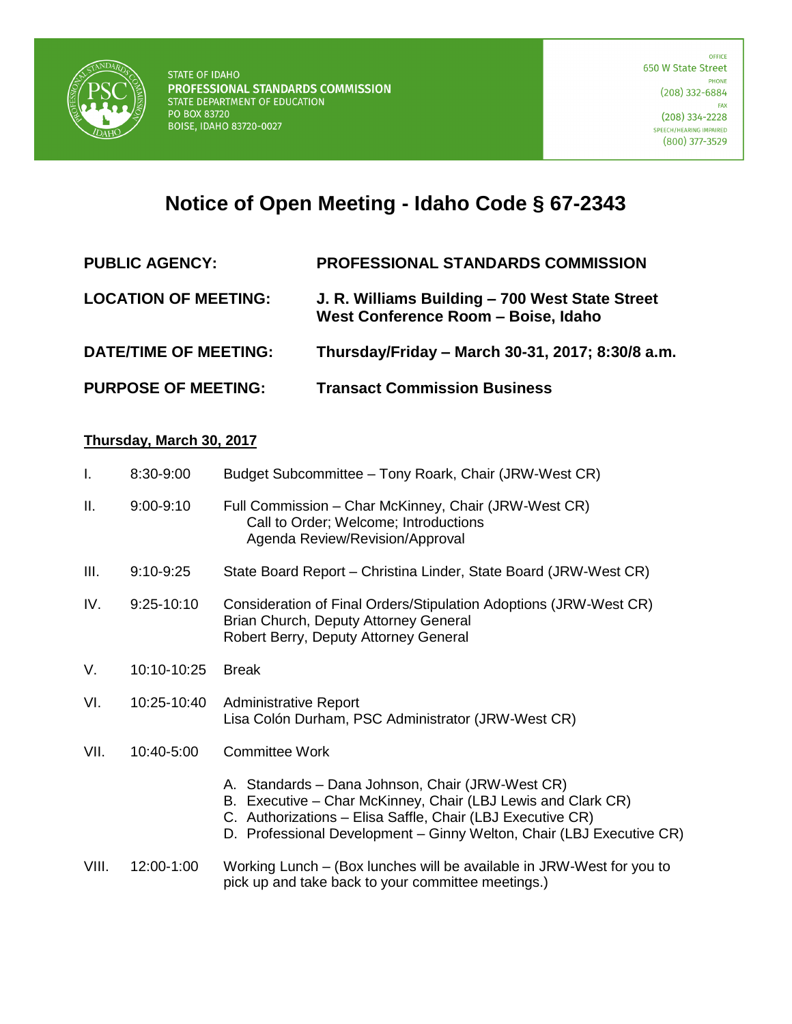

## **Notice of Open Meeting - Idaho Code § 67-2343**

| <b>PUBLIC AGENCY:</b>        | <b>PROFESSIONAL STANDARDS COMMISSION</b>                                               |
|------------------------------|----------------------------------------------------------------------------------------|
| <b>LOCATION OF MEETING:</b>  | J. R. Williams Building - 700 West State Street<br>West Conference Room - Boise, Idaho |
| <b>DATE/TIME OF MEETING:</b> | Thursday/Friday – March 30-31, 2017; 8:30/8 a.m.                                       |
| <b>PURPOSE OF MEETING:</b>   | <b>Transact Commission Business</b>                                                    |

## **Thursday, March 30, 2017**

| $\mathbf{I}$ . | 8:30-9:00     | Budget Subcommittee - Tony Roark, Chair (JRW-West CR)                                                                                                                                                                                                  |
|----------------|---------------|--------------------------------------------------------------------------------------------------------------------------------------------------------------------------------------------------------------------------------------------------------|
| Ш.             | $9:00 - 9:10$ | Full Commission - Char McKinney, Chair (JRW-West CR)<br>Call to Order; Welcome; Introductions<br>Agenda Review/Revision/Approval                                                                                                                       |
| III.           | $9:10-9:25$   | State Board Report – Christina Linder, State Board (JRW-West CR)                                                                                                                                                                                       |
| IV.            | $9:25-10:10$  | Consideration of Final Orders/Stipulation Adoptions (JRW-West CR)<br>Brian Church, Deputy Attorney General<br>Robert Berry, Deputy Attorney General                                                                                                    |
| V.             | 10:10-10:25   | <b>Break</b>                                                                                                                                                                                                                                           |
| VI.            | 10:25-10:40   | <b>Administrative Report</b><br>Lisa Colón Durham, PSC Administrator (JRW-West CR)                                                                                                                                                                     |
| VII.           | 10:40-5:00    | <b>Committee Work</b>                                                                                                                                                                                                                                  |
|                |               | A. Standards - Dana Johnson, Chair (JRW-West CR)<br>B. Executive – Char McKinney, Chair (LBJ Lewis and Clark CR)<br>C. Authorizations - Elisa Saffle, Chair (LBJ Executive CR)<br>D. Professional Development - Ginny Welton, Chair (LBJ Executive CR) |
| VIII.          | 12:00-1:00    | Working Lunch – (Box lunches will be available in JRW-West for you to<br>pick up and take back to your committee meetings.)                                                                                                                            |